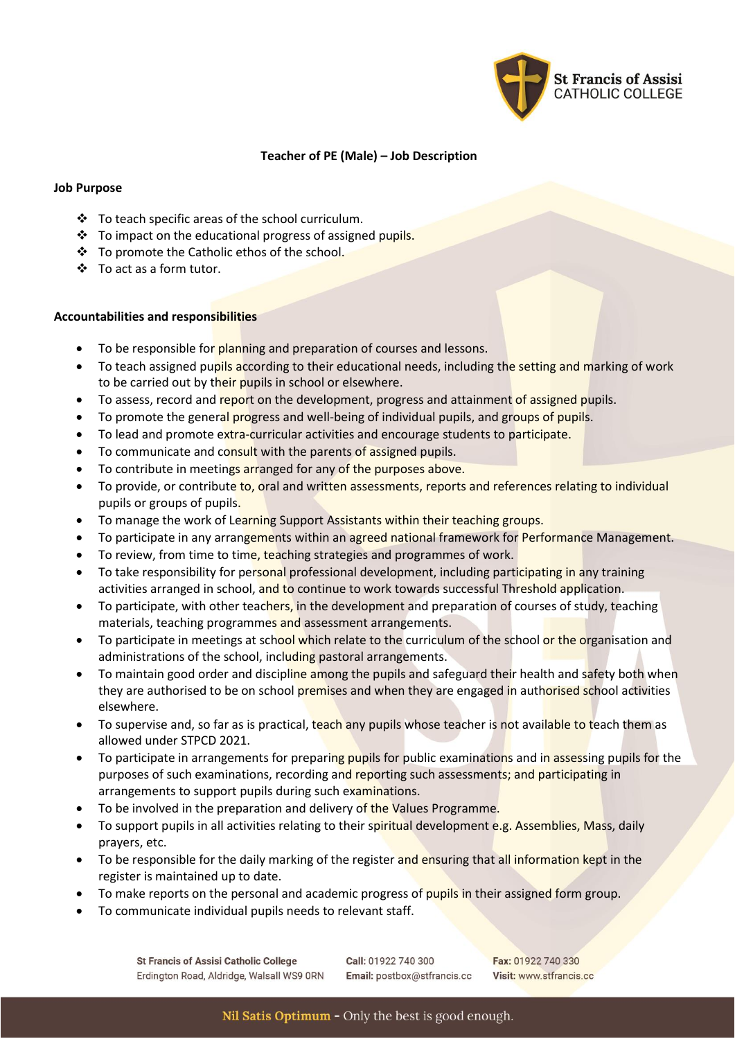

## **Teacher of PE (Male) – Job Description**

### **Job Purpose**

- ❖ To teach specific areas of the school curriculum.
- ❖ To impact on the educational progress of assigned pupils.
- ❖ To promote the Catholic ethos of the school.
- ❖ To act as a form tutor.

### **Accountabilities and responsibilities**

- To be responsible for planning and preparation of courses and lessons.
- To teach assigned pupils according to their educational needs, including the setting and marking of work to be carried out by their pupils in school or elsewhere.
- To assess, record and report on the development, progress and attainment of assigned pupils.
- To promote the general progress and well-being of individual pupils, and groups of pupils.
- To lead and promote extra-curricular activities and encourage students to participate.
- To communicate and consult with the parents of assigned pupils.
- To contribute in meetings arranged for any of the purposes above.
- To provide, or contribute to, oral and written assessments, reports and references relating to individual pupils or groups of pupils.
- To manage the work of Learning Support Assistants within their teaching groups.
- To participate in any arrangements within an agreed national framework for Performance Management.
- To review, from time to time, teaching strategies and programmes of work.
- To take responsibility for personal professional development, including participating in any training activities arranged in school, and to continue to work towards successful Threshold application.
- To participate, with other teachers, in the development and preparation of courses of study, teaching materials, teaching programmes and assessment arrangements.
- To participate in meetings at school which relate to the curriculum of the school or the organisation and administrations of the school, including pastoral arrangements.
- To maintain good order and discipline among the pupils and safeguard their health and safety both when they are authorised to be on school premises and when they are engaged in authorised school activities elsewhere.
- To supervise and, so far as is practical, teach any pupils whose teacher is not available to teach them as allowed under STPCD 2021.
- To participate in arrangements for preparing pupils for public examinations and in assessing pupils for the purposes of such examinations, recording and reporting such assessments; and participating in arrangements to support pupils during such examinations.
- To be involved in the preparation and delivery of the Values Programme.
- To support pupils in all activities relating to their spiritual development e.g. Assemblies, Mass, daily prayers, etc.
- To be responsible for the daily marking of the register and ensuring that all information kept in the register is maintained up to date.
- To make reports on the personal and academic progress of pupils in their assigned form group.
- To communicate individual pupils needs to relevant staff.

Call: 01922 740 300 Email: postbox@stfrancis.cc

Fax: 01922 740 330 Visit: www.stfrancis.cc